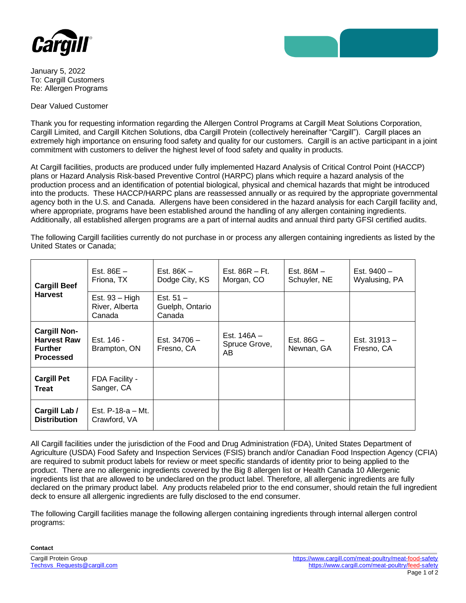



January 5, 2022 To: Cargill Customers Re: Allergen Programs

Dear Valued Customer

Thank you for requesting information regarding the Allergen Control Programs at Cargill Meat Solutions Corporation, Cargill Limited, and Cargill Kitchen Solutions, dba Cargill Protein (collectively hereinafter "Cargill"). Cargill places an extremely high importance on ensuring food safety and quality for our customers. Cargill is an active participant in a joint commitment with customers to deliver the highest level of food safety and quality in products.

At Cargill facilities, products are produced under fully implemented Hazard Analysis of Critical Control Point (HACCP) plans or Hazard Analysis Risk-based Preventive Control (HARPC) plans which require a hazard analysis of the production process and an identification of potential biological, physical and chemical hazards that might be introduced into the products. These HACCP/HARPC plans are reassessed annually or as required by the appropriate governmental agency both in the U.S. and Canada. Allergens have been considered in the hazard analysis for each Cargill facility and, where appropriate, programs have been established around the handling of any allergen containing ingredients. Additionally, all established allergen programs are a part of internal audits and annual third party GFSI certified audits.

The following Cargill facilities currently do not purchase in or process any allergen containing ingredients as listed by the United States or Canada;

| <b>Cargill Beef</b><br><b>Harvest</b>                                           | Est. $86E -$<br>Friona, TX                   | Est. 86K –<br>Dodge City, KS             | Est. $86R - Ft$ .<br>Morgan, CO      | Est. 86M –<br>Schuyler, NE | Est. $9400 -$<br>Wyalusing, PA |
|---------------------------------------------------------------------------------|----------------------------------------------|------------------------------------------|--------------------------------------|----------------------------|--------------------------------|
|                                                                                 | Est. $93 - High$<br>River, Alberta<br>Canada | Est. $51 -$<br>Guelph, Ontario<br>Canada |                                      |                            |                                |
| <b>Cargill Non-</b><br><b>Harvest Raw</b><br><b>Further</b><br><b>Processed</b> | Est. 146 -<br>Brampton, ON                   | Est. 34706 -<br>Fresno, CA               | Est. $146A -$<br>Spruce Grove,<br>AB | Est. $86G -$<br>Newnan, GA | Est. $31913 -$<br>Fresno, CA   |
| <b>Cargill Pet</b><br><b>Treat</b>                                              | FDA Facility -<br>Sanger, CA                 |                                          |                                      |                            |                                |
| Cargill Lab /<br><b>Distribution</b>                                            | Est. $P-18-a - Mt$ .<br>Crawford, VA         |                                          |                                      |                            |                                |

All Cargill facilities under the jurisdiction of the Food and Drug Administration (FDA), United States Department of Agriculture (USDA) Food Safety and Inspection Services (FSIS) branch and/or Canadian Food Inspection Agency (CFIA) are required to submit product labels for review or meet specific standards of identity prior to being applied to the product. There are no allergenic ingredients covered by the Big 8 allergen list or Health Canada 10 Allergenic ingredients list that are allowed to be undeclared on the product label. Therefore, all allergenic ingredients are fully declared on the primary product label. Any products relabeled prior to the end consumer, should retain the full ingredient deck to ensure all allergenic ingredients are fully disclosed to the end consumer.

The following Cargill facilities manage the following allergen containing ingredients through internal allergen control programs:

**Contact**